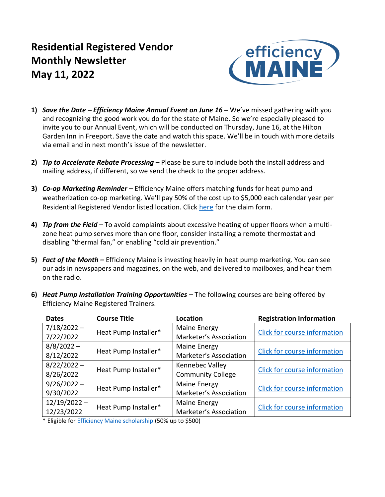# **Residential Registered Vendor Monthly Newsletter May 11, 2022**



- **1)** *Save the Date – Efficiency Maine Annual Event on June 16 –* We've missed gathering with you and recognizing the good work you do for the state of Maine. So we're especially pleased to invite you to our Annual Event, which will be conducted on Thursday, June 16, at the Hilton Garden Inn in Freeport. Save the date and watch this space. We'll be in touch with more details via email and in next month's issue of the newsletter.
- **2)** *Tip to Accelerate Rebate Processing –* Please be sure to include both the install address and mailing address, if different, so we send the check to the proper address.
- **3)** *Co-op Marketing Reminder –* Efficiency Maine offers matching funds for heat pump and weatherization co-op marketing. We'll pay 50% of the cost up to \$5,000 each calendar year per Residential Registered Vendor listed location. Click [here](https://www.efficiencymaine.com/docs/Efficiency-Maine-Residential-Coop-Marketing-Program.pdf) for the claim form.
- **4)** *Tip from the Field –* To avoid complaints about excessive heating of upper floors when a multizone heat pump serves more than one floor, consider installing a remote thermostat and disabling "thermal fan," or enabling "cold air prevention."
- **5)** *Fact of the Month –* Efficiency Maine is investing heavily in heat pump marketing. You can see our ads in newspapers and magazines, on the web, and delivered to mailboxes, and hear them on the radio.

| <b>Dates</b>   | <b>Course Title</b>  | Location                 | <b>Registration Information</b>     |  |  |  |
|----------------|----------------------|--------------------------|-------------------------------------|--|--|--|
| $7/18/2022 -$  | Heat Pump Installer* | Maine Energy             | <b>Click for course information</b> |  |  |  |
| 7/22/2022      |                      | Marketer's Association   |                                     |  |  |  |
| $8/8/2022 -$   | Heat Pump Installer* | Maine Energy             |                                     |  |  |  |
| 8/12/2022      |                      | Marketer's Association   | <b>Click for course information</b> |  |  |  |
| $8/22/2022 -$  |                      | Kennebec Valley          | Click for course information        |  |  |  |
| 8/26/2022      | Heat Pump Installer* | <b>Community College</b> |                                     |  |  |  |
| $9/26/2022 -$  |                      | Maine Energy             | Click for course information        |  |  |  |
| 9/30/2022      | Heat Pump Installer* | Marketer's Association   |                                     |  |  |  |
| $12/19/2022 -$ |                      | Maine Energy             |                                     |  |  |  |
| 12/23/2022     | Heat Pump Installer* | Marketer's Association   | Click for course information        |  |  |  |

**6)** *Heat Pump Installation Training Opportunities –* The following courses are being offered by Efficiency Maine Registered Trainers.

\* Eligible fo[r Efficiency Maine scholarship](https://www.efficiencymaine.com/docs/RRV-Scholarship-Application.pdf) (50% up to \$500)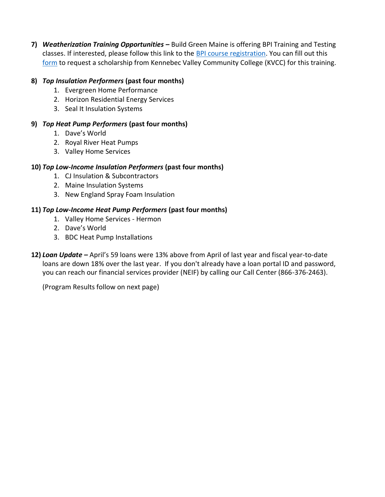**7)** *Weatherization Training Opportunities –* Build Green Maine is offering BPI Training and Testing classes. If interested, please follow this link to the [BPI course registration.](https://www.buildgreenmaine.org/bpi-training-course-registration/) You can fill out this [form](https://kvcc.qualtrics.com/jfe/form/SV_5bREoVTtBQShYt8) to request a scholarship from Kennebec Valley Community College (KVCC) for this training.

## **8)** *Top Insulation Performers* **(past four months)**

- 1. Evergreen Home Performance
- 2. Horizon Residential Energy Services
- 3. Seal It Insulation Systems

## **9)** *Top Heat Pump Performers* **(past four months)**

- 1. Dave's World
- 2. Royal River Heat Pumps
- 3. Valley Home Services

## **10)** *Top Low-Income Insulation Performers* **(past four months)**

- 1. CJ Insulation & Subcontractors
- 2. Maine Insulation Systems
- 3. New England Spray Foam Insulation

## **11)** *Top Low-Income Heat Pump Performers* **(past four months)**

- 1. Valley Home Services Hermon
- 2. Dave's World
- 3. BDC Heat Pump Installations
- **12)** *Loan Update –* April's 59 loans were 13% above from April of last year and fiscal year-to-date loans are down 18% over the last year. If you don't already have a loan portal ID and password, you can reach our financial services provider (NEIF) by calling our Call Center (866-376-2463).

(Program Results follow on next page)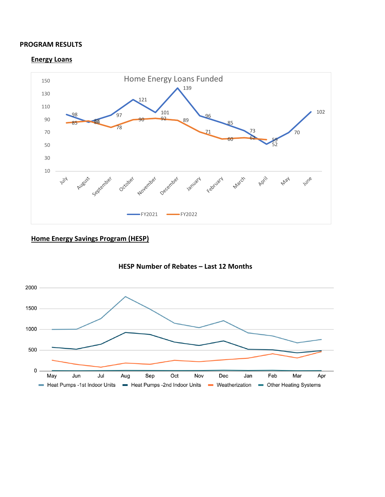#### **PROGRAM RESULTS**

#### **Energy Loans**



## **Home Energy Savings Program (HESP)**



**HESP Number of Rebates – Last 12 Months**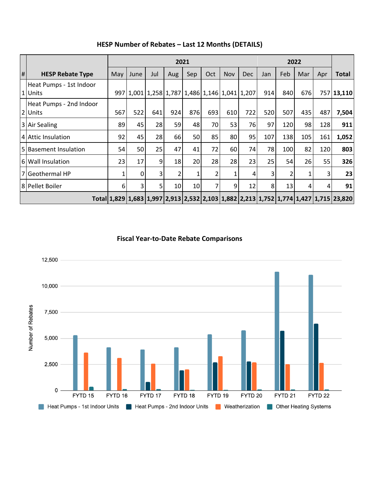|   |                                    | 2021 |      |     |                 |     |                                               |            |     |     | 2022 |     |     |                                                                                      |  |
|---|------------------------------------|------|------|-----|-----------------|-----|-----------------------------------------------|------------|-----|-----|------|-----|-----|--------------------------------------------------------------------------------------|--|
| # | <b>HESP Rebate Type</b>            | May  | June | Jul | Aug             | Sep | Oct                                           | <b>Nov</b> | Dec | Jan | Feb  | Mar | Apr | <b>Total</b>                                                                         |  |
|   | Heat Pumps - 1st Indoor<br>1 Units |      |      |     |                 |     | 997 1,001 1,258 1,787 1,486 1,146 1,041 1,207 |            |     | 914 | 840  | 676 |     | 757 13,110                                                                           |  |
|   | Heat Pumps - 2nd Indoor<br>2 Units | 567  | 522  | 641 | 924             | 876 | 693                                           | 610        | 722 | 520 | 507  | 435 | 487 | 7,504                                                                                |  |
|   | 3 Air Sealing                      | 89   | 45   | 28  | 59              | 48  | 70                                            | 53         | 76  | 97  | 120  | 98  | 128 | 911                                                                                  |  |
|   | 4 Attic Insulation                 | 92   | 45   | 28  | 66              | 50  | 85                                            | 80         | 95  | 107 | 138  | 105 | 161 | 1,052                                                                                |  |
|   | 5 Basement Insulation              | 54   | 50   | 25  | 47              | 41  | 72                                            | 60         | 74  | 78  | 100  | 82  | 120 | 803                                                                                  |  |
|   | 6 Wall Insulation                  | 23   | 17   | 9   | 18              | 20  | 28                                            | 28         | 23  | 25  | 54   | 26  | 55  | 326                                                                                  |  |
|   | 7 Geothermal HP                    |      | 0    | 3   | 2               | 1   | 2                                             | 1          | 4   | 3   | 2    |     | 3   | 23                                                                                   |  |
|   | 8 Pellet Boiler                    | 6    | 3    | 5   | 10 <sup>1</sup> | 10  | 7                                             | 9          | 12  | 8   | 13   | 4   | 4   | 91                                                                                   |  |
|   |                                    |      |      |     |                 |     |                                               |            |     |     |      |     |     | Total 1,829 1,683 1,997 2,913 2,532 2,103 1,882 2,213 1,752 1,774 1,427 1,715 23,820 |  |

## **HESP Number of Rebates – Last 12 Months (DETAILS)**

**Fiscal Year-to-Date Rebate Comparisons**

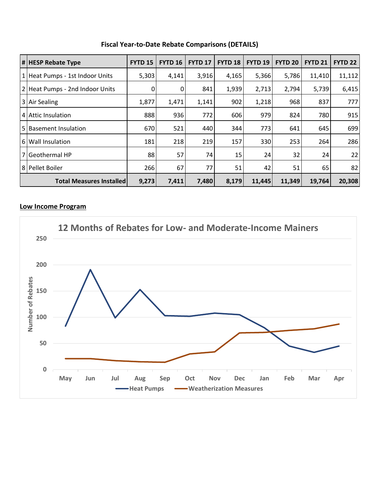|              | # HESP Rebate Type              | <b>FYTD 15</b> | <b>FYTD 16</b> | <b>FYTD 17</b> | <b>FYTD 18</b> | <b>FYTD 19</b> | <b>FYTD 20</b> | <b>FYTD 21</b> | <b>FYTD 22</b> |
|--------------|---------------------------------|----------------|----------------|----------------|----------------|----------------|----------------|----------------|----------------|
|              | 1 Heat Pumps - 1st Indoor Units | 5,303          | 4,141          | 3,916          | 4,165          | 5,366          | 5,786          | 11,410         | 11,112         |
|              | 2 Heat Pumps - 2nd Indoor Units | 0              | 0              | 841            | 1,939          | 2,713          | 2,794          | 5,739          | 6,415          |
|              | 3 Air Sealing                   | 1,877          | 1,471          | 1,141          | 902            | 1,218          | 968            | 837            | 777            |
|              | 4 Attic Insulation              | 888            | 936            | 772            | 606            | 979            | 824            | 780            | 915            |
| <sup>5</sup> | <b>Basement Insulation</b>      | 670            | 521            | 440            | 344            | 773            | 641            | 645            | 699            |
|              | 6 Wall Insulation               | 181            | 218            | 219            | 157            | 330            | 253            | 264            | 286            |
|              | 7 Geothermal HP                 | 88             | 57             | 74             | 15             | 24             | 32             | 24             | 22             |
|              | 8 Pellet Boiler                 | 266            | 67             | 77             | 51             | 42             | 51             | 65             | 82             |
|              | <b>Total Measures Installed</b> | 9,273          | 7,411          | 7,480          | 8,179          | 11,445         | 11,349         | 19,764         | 20,308         |

## **Fiscal Year-to-Date Rebate Comparisons (DETAILS)**

## **Low Income Program**

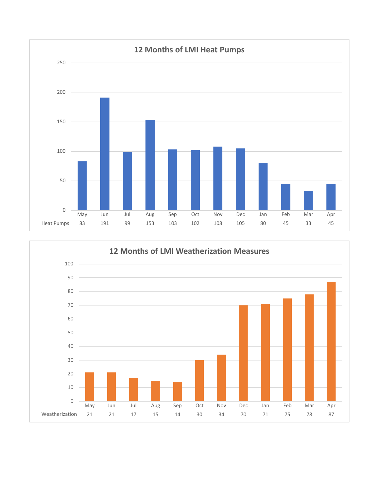